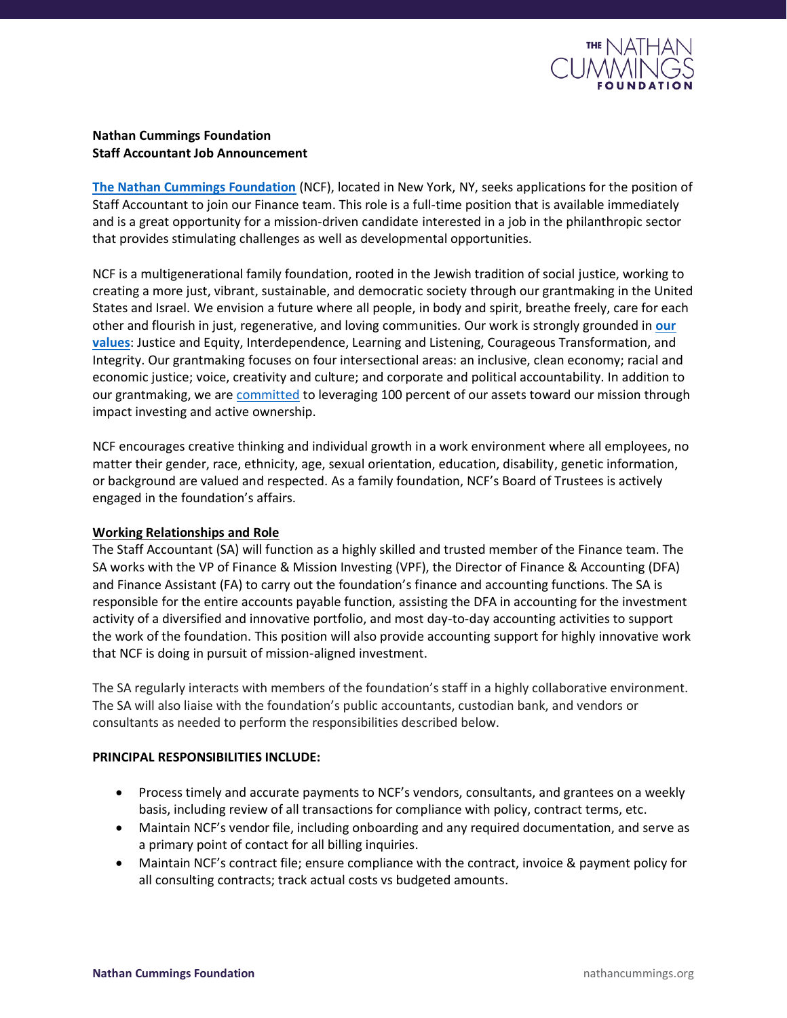

## **Nathan Cummings Foundation Staff Accountant Job Announcement**

**[The Nathan Cummings Foundation](https://nathancummings.org/)** (NCF), located in New York, NY, seeks applications for the position of Staff Accountant to join our Finance team. This role is a full-time position that is available immediately and is a great opportunity for a mission-driven candidate interested in a job in the philanthropic sector that provides stimulating challenges as well as developmental opportunities.

NCF is a multigenerational family foundation, rooted in the Jewish tradition of social justice, working to creating a more just, vibrant, sustainable, and democratic society through our grantmaking in the United States and Israel. We envision a future where all people, in body and spirit, breathe freely, care for each other and flourish in just, regenerative, and loving communities. Our work is strongly grounded in **[our](https://nathancummings.org/our-values/)  [values](https://nathancummings.org/our-values/)**: Justice and Equity, Interdependence, Learning and Listening, Courageous Transformation, and Integrity. Our grantmaking focuses on four intersectional areas: an inclusive, clean economy; racial and economic justice; voice, creativity and culture; and corporate and political accountability. In addition to our grantmaking, we are [committed](https://nathancummings.org/ncf-commits-to-100-percent/) to leveraging 100 percent of our assets toward our mission through impact investing and active ownership.

NCF encourages creative thinking and individual growth in a work environment where all employees, no matter their gender, race, ethnicity, age, sexual orientation, education, disability, genetic information, or background are valued and respected. As a family foundation, NCF's Board of Trustees is actively engaged in the foundation's affairs.

## **Working Relationships and Role**

The Staff Accountant (SA) will function as a highly skilled and trusted member of the Finance team. The SA works with the VP of Finance & Mission Investing (VPF), the Director of Finance & Accounting (DFA) and Finance Assistant (FA) to carry out the foundation's finance and accounting functions. The SA is responsible for the entire accounts payable function, assisting the DFA in accounting for the investment activity of a diversified and innovative portfolio, and most day-to-day accounting activities to support the work of the foundation. This position will also provide accounting support for highly innovative work that NCF is doing in pursuit of mission-aligned investment.

The SA regularly interacts with members of the foundation's staff in a highly collaborative environment. The SA will also liaise with the foundation's public accountants, custodian bank, and vendors or consultants as needed to perform the responsibilities described below.

## **PRINCIPAL RESPONSIBILITIES INCLUDE:**

- Process timely and accurate payments to NCF's vendors, consultants, and grantees on a weekly basis, including review of all transactions for compliance with policy, contract terms, etc.
- Maintain NCF's vendor file, including onboarding and any required documentation, and serve as a primary point of contact for all billing inquiries.
- Maintain NCF's contract file; ensure compliance with the contract, invoice & payment policy for all consulting contracts; track actual costs vs budgeted amounts.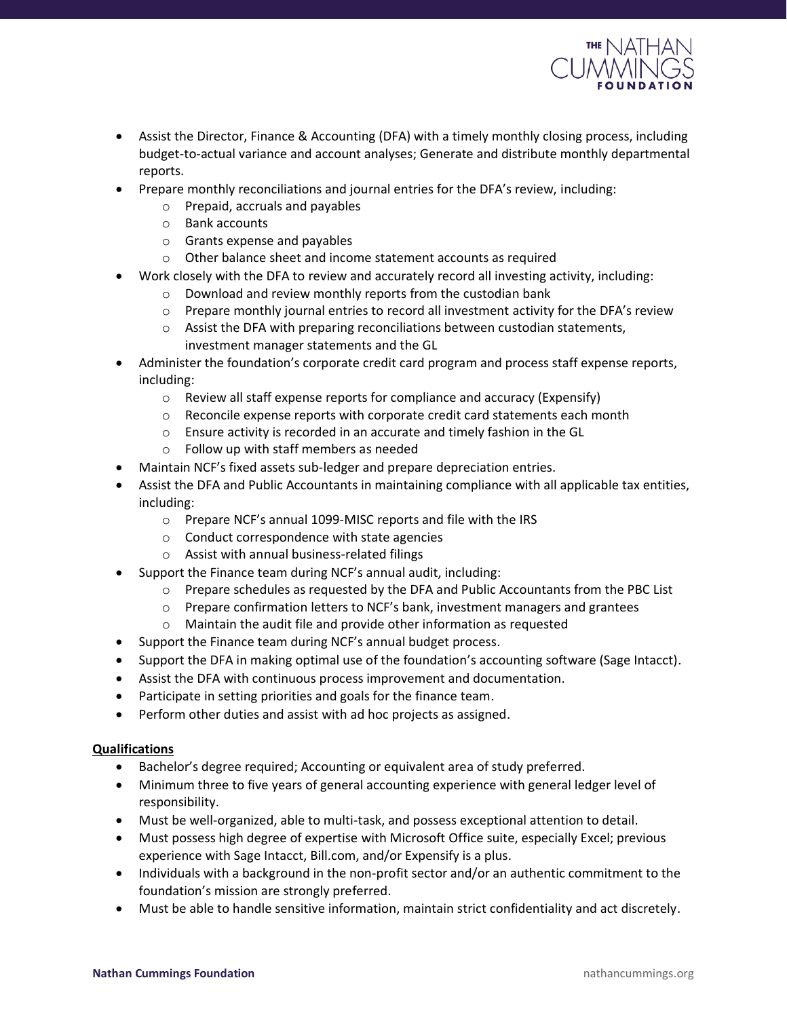

- Assist the Director, Finance & Accounting (DFA) with a timely monthly closing process, including budget-to-actual variance and account analyses; Generate and distribute monthly departmental reports.
- Prepare monthly reconciliations and journal entries for the DFA's review, including:
	- o Prepaid, accruals and payables
	- o Bank accounts
	- o Grants expense and payables
	- o Other balance sheet and income statement accounts as required
- Work closely with the DFA to review and accurately record all investing activity, including:
	- o Download and review monthly reports from the custodian bank
	- $\circ$  Prepare monthly journal entries to record all investment activity for the DFA's review
	- $\circ$  Assist the DFA with preparing reconciliations between custodian statements, investment manager statements and the GL
- Administer the foundation's corporate credit card program and process staff expense reports, including:
	- o Review all staff expense reports for compliance and accuracy (Expensify)
	- $\circ$  Reconcile expense reports with corporate credit card statements each month
	- o Ensure activity is recorded in an accurate and timely fashion in the GL
	- o Follow up with staff members as needed
- Maintain NCF's fixed assets sub-ledger and prepare depreciation entries.
- Assist the DFA and Public Accountants in maintaining compliance with all applicable tax entities, including:
	- o Prepare NCF's annual 1099-MISC reports and file with the IRS
	- o Conduct correspondence with state agencies
	- o Assist with annual business-related filings
- Support the Finance team during NCF's annual audit, including:
	- $\circ$  Prepare schedules as requested by the DFA and Public Accountants from the PBC List
	- $\circ$  Prepare confirmation letters to NCF's bank, investment managers and grantees
	- o Maintain the audit file and provide other information as requested
- Support the Finance team during NCF's annual budget process.
- Support the DFA in making optimal use of the foundation's accounting software (Sage Intacct).
- Assist the DFA with continuous process improvement and documentation.
- Participate in setting priorities and goals for the finance team.
- Perform other duties and assist with ad hoc projects as assigned.

## **Qualifications**

- Bachelor's degree required; Accounting or equivalent area of study preferred.
- Minimum three to five years of general accounting experience with general ledger level of responsibility.
- Must be well-organized, able to multi-task, and possess exceptional attention to detail.
- Must possess high degree of expertise with Microsoft Office suite, especially Excel; previous experience with Sage Intacct, Bill.com, and/or Expensify is a plus.
- Individuals with a background in the non-profit sector and/or an authentic commitment to the foundation's mission are strongly preferred.
- Must be able to handle sensitive information, maintain strict confidentiality and act discretely.